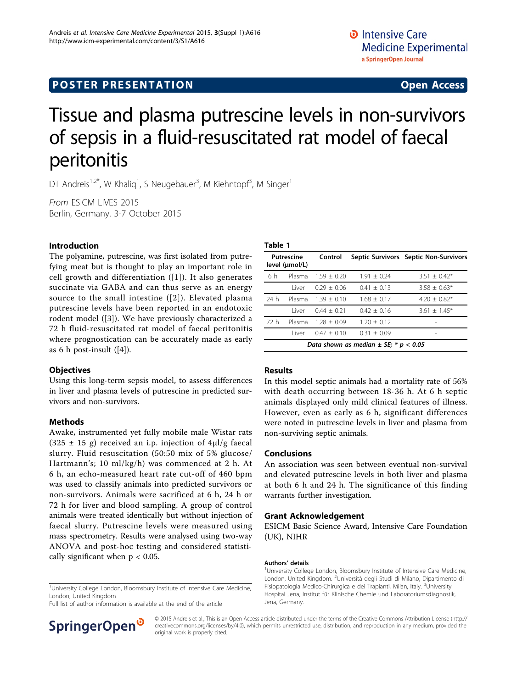# **POSTER PRESENTATION CONSUMING ACCESS**

# Tissue and plasma putrescine levels in non-survivors of sepsis in a fluid-resuscitated rat model of faecal peritonitis

DT Andreis<sup>1,2\*</sup>, W Khaliq<sup>1</sup>, S Neugebauer<sup>3</sup>, M Kiehntopf<sup>3</sup>, M Singer<sup>1</sup>

From ESICM LIVES 2015 Berlin, Germany. 3-7 October 2015

## Introduction

The polyamine, putrescine, was first isolated from putrefying meat but is thought to play an important role in cell growth and differentiation ([[1](#page-1-0)]). It also generates succinate via GABA and can thus serve as an energy source to the small intestine ([[2](#page-1-0)]). Elevated plasma putrescine levels have been reported in an endotoxic rodent model ([[3\]](#page-1-0)). We have previously characterized a 72 h fluid-resuscitated rat model of faecal peritonitis where prognostication can be accurately made as early as 6 h post-insult  $([4])$  $([4])$  $([4])$ .

## **Objectives**

Using this long-term sepsis model, to assess differences in liver and plasma levels of putrescine in predicted survivors and non-survivors.

## Methods

Awake, instrumented yet fully mobile male Wistar rats (325  $\pm$  15 g) received an i.p. injection of 4 $\mu$ l/g faecal slurry. Fluid resuscitation (50:50 mix of 5% glucose/ Hartmann's; 10 ml/kg/h) was commenced at 2 h. At 6 h, an echo-measured heart rate cut-off of 460 bpm was used to classify animals into predicted survivors or non-survivors. Animals were sacrificed at 6 h, 24 h or 72 h for liver and blood sampling. A group of control animals were treated identically but without injection of faecal slurry. Putrescine levels were measured using mass spectrometry. Results were analysed using two-way ANOVA and post-hoc testing and considered statistically significant when  $p < 0.05$ .

<sup>1</sup>University College London, Bloomsbury Institute of Intensive Care Medicine, London, United Kingdom

Full list of author information is available at the end of the article



#### Table 1

| Putrescine<br>level (µmol/L)              |        | Control         |               | Septic Survivors Septic Non-Survivors |
|-------------------------------------------|--------|-----------------|---------------|---------------------------------------|
| 6 h                                       | Plasma | $1.59 + 0.20$   | $1.91 + 0.24$ | $3.51 + 0.42*$                        |
|                                           | I iver | $0.29 \pm 0.06$ | $0.41 + 0.13$ | $3.58 \pm 0.63*$                      |
| 24 h                                      | Plasma | $1.39 + 0.10$   | $1.68 + 0.17$ | $4.20 + 0.82*$                        |
|                                           | l iver | $0.44 + 0.21$   | $0.42 + 0.16$ | $3.61 + 1.45*$                        |
| 72 h                                      | Plasma | $1.28 + 0.09$   | $1.20 + 0.12$ |                                       |
|                                           | l iver | $0.47 + 0.10$   | $0.31 + 0.09$ | -                                     |
| Data shown as median $\pm$ SE; * p < 0.05 |        |                 |               |                                       |

#### Results

In this model septic animals had a mortality rate of 56% with death occurring between 18-36 h. At 6 h septic animals displayed only mild clinical features of illness. However, even as early as 6 h, significant differences were noted in putrescine levels in liver and plasma from non-surviving septic animals.

#### Conclusions

An association was seen between eventual non-survival and elevated putrescine levels in both liver and plasma at both 6 h and 24 h. The significance of this finding warrants further investigation.

#### Grant Acknowledgement

ESICM Basic Science Award, Intensive Care Foundation (UK), NIHR

#### Authors' details <sup>1</sup>

<sup>1</sup>University College London, Bloomsbury Institute of Intensive Care Medicine, London, United Kingdom. <sup>2</sup>Università degli Studi di Milano, Dipartimento di Fisiopatologia Medico-Chirurgica e dei Trapianti, Milan, Italy. <sup>3</sup>University Hospital Jena, Institut für Klinische Chemie und Laboratoriumsdiagnostik, Jena, Germany.

© 2015 Andreis et al.; This is an Open Access article distributed under the terms of the Creative Commons Attribution License [\(http://](http://creativecommons.org/licenses/by/4.0) [creativecommons.org/licenses/by/4.0](http://creativecommons.org/licenses/by/4.0)), which permits unrestricted use, distribution, and reproduction in any medium, provided the original work is properly cited.